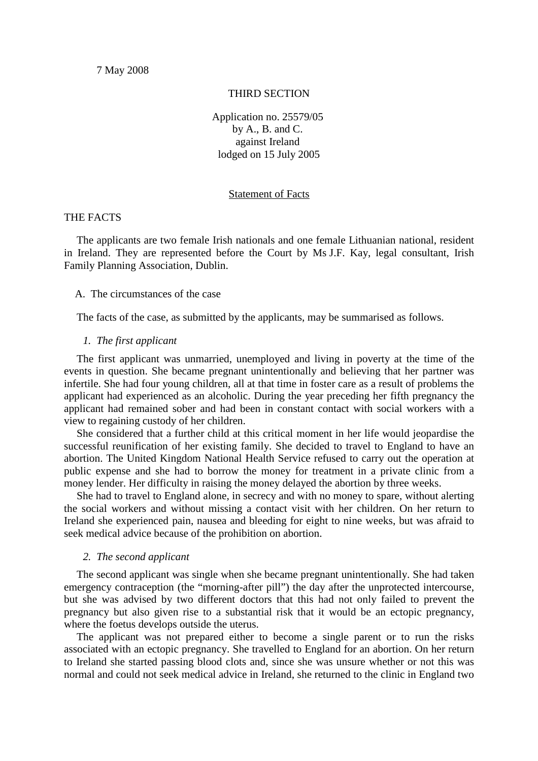## THIRD SECTION

Application no. 25579/05 by A., B. and C. against Ireland lodged on 15 July 2005

#### Statement of Facts

# THE FACTS

The applicants are two female Irish nationals and one female Lithuanian national, resident in Ireland. They are represented before the Court by Ms J.F. Kay, legal consultant, Irish Family Planning Association, Dublin.

A. The circumstances of the case

The facts of the case, as submitted by the applicants, may be summarised as follows.

### *1. The first applicant*

The first applicant was unmarried, unemployed and living in poverty at the time of the events in question. She became pregnant unintentionally and believing that her partner was infertile. She had four young children, all at that time in foster care as a result of problems the applicant had experienced as an alcoholic. During the year preceding her fifth pregnancy the applicant had remained sober and had been in constant contact with social workers with a view to regaining custody of her children.

She considered that a further child at this critical moment in her life would jeopardise the successful reunification of her existing family. She decided to travel to England to have an abortion. The United Kingdom National Health Service refused to carry out the operation at public expense and she had to borrow the money for treatment in a private clinic from a money lender. Her difficulty in raising the money delayed the abortion by three weeks.

She had to travel to England alone, in secrecy and with no money to spare, without alerting the social workers and without missing a contact visit with her children. On her return to Ireland she experienced pain, nausea and bleeding for eight to nine weeks, but was afraid to seek medical advice because of the prohibition on abortion.

### *2. The second applicant*

The second applicant was single when she became pregnant unintentionally. She had taken emergency contraception (the "morning-after pill") the day after the unprotected intercourse, but she was advised by two different doctors that this had not only failed to prevent the pregnancy but also given rise to a substantial risk that it would be an ectopic pregnancy, where the foetus develops outside the uterus.

The applicant was not prepared either to become a single parent or to run the risks associated with an ectopic pregnancy. She travelled to England for an abortion. On her return to Ireland she started passing blood clots and, since she was unsure whether or not this was normal and could not seek medical advice in Ireland, she returned to the clinic in England two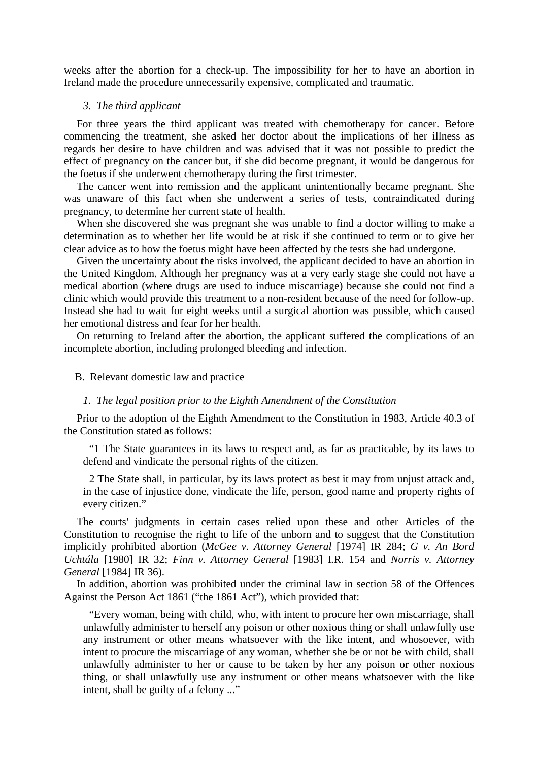weeks after the abortion for a check-up. The impossibility for her to have an abortion in Ireland made the procedure unnecessarily expensive, complicated and traumatic.

### *3. The third applicant*

For three years the third applicant was treated with chemotherapy for cancer. Before commencing the treatment, she asked her doctor about the implications of her illness as regards her desire to have children and was advised that it was not possible to predict the effect of pregnancy on the cancer but, if she did become pregnant, it would be dangerous for the foetus if she underwent chemotherapy during the first trimester.

The cancer went into remission and the applicant unintentionally became pregnant. She was unaware of this fact when she underwent a series of tests, contraindicated during pregnancy, to determine her current state of health.

When she discovered she was pregnant she was unable to find a doctor willing to make a determination as to whether her life would be at risk if she continued to term or to give her clear advice as to how the foetus might have been affected by the tests she had undergone.

Given the uncertainty about the risks involved, the applicant decided to have an abortion in the United Kingdom. Although her pregnancy was at a very early stage she could not have a medical abortion (where drugs are used to induce miscarriage) because she could not find a clinic which would provide this treatment to a non-resident because of the need for follow-up. Instead she had to wait for eight weeks until a surgical abortion was possible, which caused her emotional distress and fear for her health.

On returning to Ireland after the abortion, the applicant suffered the complications of an incomplete abortion, including prolonged bleeding and infection.

#### B. Relevant domestic law and practice

#### *1. The legal position prior to the Eighth Amendment of the Constitution*

Prior to the adoption of the Eighth Amendment to the Constitution in 1983, Article 40.3 of the Constitution stated as follows:

"1 The State guarantees in its laws to respect and, as far as practicable, by its laws to defend and vindicate the personal rights of the citizen.

2 The State shall, in particular, by its laws protect as best it may from unjust attack and, in the case of injustice done, vindicate the life, person, good name and property rights of every citizen."

The courts' judgments in certain cases relied upon these and other Articles of the Constitution to recognise the right to life of the unborn and to suggest that the Constitution implicitly prohibited abortion (*McGee v. Attorney General* [1974] IR 284; *G v. An Bord Uchtála* [1980] IR 32; *Finn v. Attorney General* [1983] I.R. 154 and *Norris v. Attorney General* [1984] IR 36).

In addition, abortion was prohibited under the criminal law in section 58 of the Offences Against the Person Act 1861 ("the 1861 Act"), which provided that:

"Every woman, being with child, who, with intent to procure her own miscarriage, shall unlawfully administer to herself any poison or other noxious thing or shall unlawfully use any instrument or other means whatsoever with the like intent, and whosoever, with intent to procure the miscarriage of any woman, whether she be or not be with child, shall unlawfully administer to her or cause to be taken by her any poison or other noxious thing, or shall unlawfully use any instrument or other means whatsoever with the like intent, shall be guilty of a felony ..."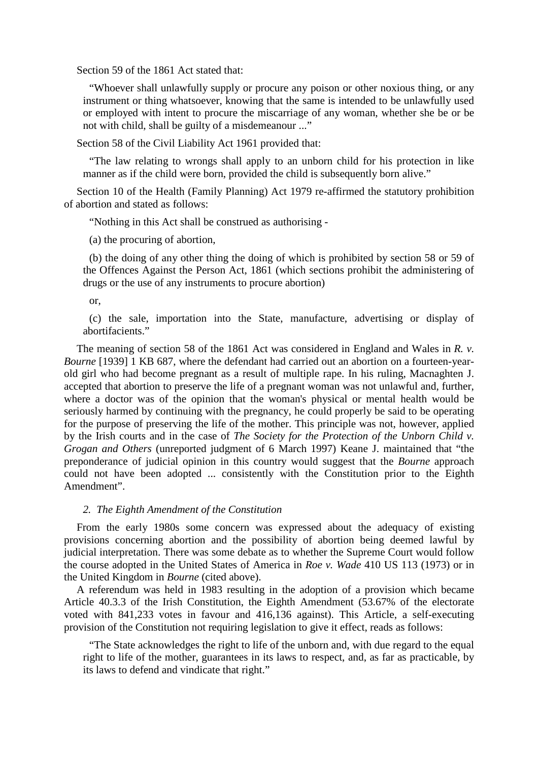Section 59 of the 1861 Act stated that:

"Whoever shall unlawfully supply or procure any poison or other noxious thing, or any instrument or thing whatsoever, knowing that the same is intended to be unlawfully used or employed with intent to procure the miscarriage of any woman, whether she be or be not with child, shall be guilty of a misdemeanour ..."

Section 58 of the Civil Liability Act 1961 provided that:

"The law relating to wrongs shall apply to an unborn child for his protection in like manner as if the child were born, provided the child is subsequently born alive."

Section 10 of the Health (Family Planning) Act 1979 re-affirmed the statutory prohibition of abortion and stated as follows:

"Nothing in this Act shall be construed as authorising -

(a) the procuring of abortion,

(b) the doing of any other thing the doing of which is prohibited by section 58 or 59 of the Offences Against the Person Act, 1861 (which sections prohibit the administering of drugs or the use of any instruments to procure abortion)

## or,

(c) the sale, importation into the State, manufacture, advertising or display of abortifacients."

The meaning of section 58 of the 1861 Act was considered in England and Wales in *R. v. Bourne* [1939] 1 KB 687, where the defendant had carried out an abortion on a fourteen-yearold girl who had become pregnant as a result of multiple rape. In his ruling, Macnaghten J. accepted that abortion to preserve the life of a pregnant woman was not unlawful and, further, where a doctor was of the opinion that the woman's physical or mental health would be seriously harmed by continuing with the pregnancy, he could properly be said to be operating for the purpose of preserving the life of the mother. This principle was not, however, applied by the Irish courts and in the case of *The Society for the Protection of the Unborn Child v. Grogan and Others* (unreported judgment of 6 March 1997) Keane J. maintained that "the preponderance of judicial opinion in this country would suggest that the *Bourne* approach could not have been adopted ... consistently with the Constitution prior to the Eighth Amendment".

## *2. The Eighth Amendment of the Constitution*

From the early 1980s some concern was expressed about the adequacy of existing provisions concerning abortion and the possibility of abortion being deemed lawful by judicial interpretation. There was some debate as to whether the Supreme Court would follow the course adopted in the United States of America in *Roe v. Wade* 410 US 113 (1973) or in the United Kingdom in *Bourne* (cited above).

A referendum was held in 1983 resulting in the adoption of a provision which became Article 40.3.3 of the Irish Constitution, the Eighth Amendment (53.67% of the electorate voted with 841,233 votes in favour and 416,136 against). This Article, a self-executing provision of the Constitution not requiring legislation to give it effect, reads as follows:

"The State acknowledges the right to life of the unborn and, with due regard to the equal right to life of the mother, guarantees in its laws to respect, and, as far as practicable, by its laws to defend and vindicate that right."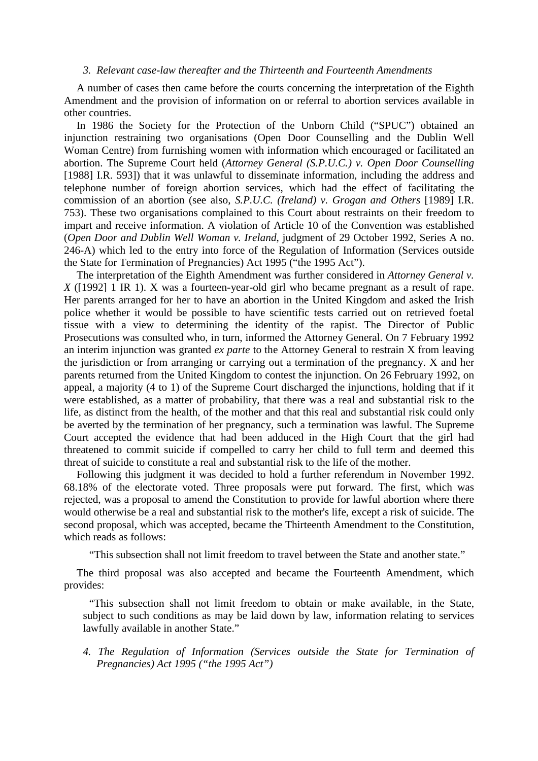### *3. Relevant case-law thereafter and the Thirteenth and Fourteenth Amendments*

A number of cases then came before the courts concerning the interpretation of the Eighth Amendment and the provision of information on or referral to abortion services available in other countries.

In 1986 the Society for the Protection of the Unborn Child ("SPUC") obtained an injunction restraining two organisations (Open Door Counselling and the Dublin Well Woman Centre) from furnishing women with information which encouraged or facilitated an abortion. The Supreme Court held (*Attorney General (S.P.U.C.) v. Open Door Counselling* [1988] I.R. 593]) that it was unlawful to disseminate information, including the address and telephone number of foreign abortion services, which had the effect of facilitating the commission of an abortion (see also, *S.P.U.C. (Ireland) v. Grogan and Others* [1989] I.R. 753). These two organisations complained to this Court about restraints on their freedom to impart and receive information. A violation of Article 10 of the Convention was established (*Open Door and Dublin Well Woman v. Ireland*, judgment of 29 October 1992, Series A no. 246-A) which led to the entry into force of the Regulation of Information (Services outside the State for Termination of Pregnancies) Act 1995 ("the 1995 Act").

The interpretation of the Eighth Amendment was further considered in *Attorney General v. X* ([1992] 1 IR 1). X was a fourteen-year-old girl who became pregnant as a result of rape. Her parents arranged for her to have an abortion in the United Kingdom and asked the Irish police whether it would be possible to have scientific tests carried out on retrieved foetal tissue with a view to determining the identity of the rapist. The Director of Public Prosecutions was consulted who, in turn, informed the Attorney General. On 7 February 1992 an interim injunction was granted *ex parte* to the Attorney General to restrain X from leaving the jurisdiction or from arranging or carrying out a termination of the pregnancy. X and her parents returned from the United Kingdom to contest the injunction. On 26 February 1992, on appeal, a majority (4 to 1) of the Supreme Court discharged the injunctions, holding that if it were established, as a matter of probability, that there was a real and substantial risk to the life, as distinct from the health, of the mother and that this real and substantial risk could only be averted by the termination of her pregnancy, such a termination was lawful. The Supreme Court accepted the evidence that had been adduced in the High Court that the girl had threatened to commit suicide if compelled to carry her child to full term and deemed this threat of suicide to constitute a real and substantial risk to the life of the mother.

Following this judgment it was decided to hold a further referendum in November 1992. 68.18% of the electorate voted. Three proposals were put forward. The first, which was rejected, was a proposal to amend the Constitution to provide for lawful abortion where there would otherwise be a real and substantial risk to the mother's life, except a risk of suicide. The second proposal, which was accepted, became the Thirteenth Amendment to the Constitution, which reads as follows:

"This subsection shall not limit freedom to travel between the State and another state."

The third proposal was also accepted and became the Fourteenth Amendment, which provides:

"This subsection shall not limit freedom to obtain or make available, in the State, subject to such conditions as may be laid down by law, information relating to services lawfully available in another State."

*4. The Regulation of Information (Services outside the State for Termination of Pregnancies) Act 1995 ("the 1995 Act")*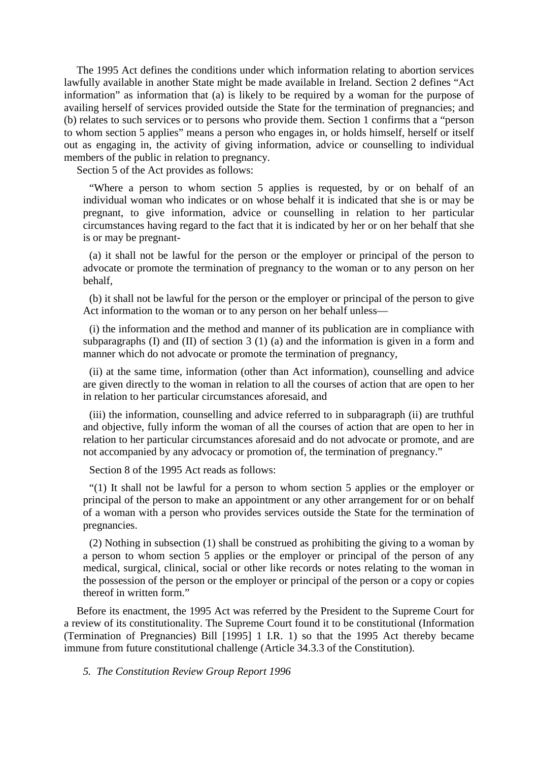The 1995 Act defines the conditions under which information relating to abortion services lawfully available in another State might be made available in Ireland. Section 2 defines "Act information" as information that (a) is likely to be required by a woman for the purpose of availing herself of services provided outside the State for the termination of pregnancies; and (b) relates to such services or to persons who provide them. Section 1 confirms that a "person to whom section 5 applies" means a person who engages in, or holds himself, herself or itself out as engaging in, the activity of giving information, advice or counselling to individual members of the public in relation to pregnancy.

Section 5 of the Act provides as follows:

"Where a person to whom section 5 applies is requested, by or on behalf of an individual woman who indicates or on whose behalf it is indicated that she is or may be pregnant, to give information, advice or counselling in relation to her particular circumstances having regard to the fact that it is indicated by her or on her behalf that she is or may be pregnant-

(a) it shall not be lawful for the person or the employer or principal of the person to advocate or promote the termination of pregnancy to the woman or to any person on her behalf,

(b) it shall not be lawful for the person or the employer or principal of the person to give Act information to the woman or to any person on her behalf unless—

(i) the information and the method and manner of its publication are in compliance with subparagraphs (I) and (II) of section 3 (1) (a) and the information is given in a form and manner which do not advocate or promote the termination of pregnancy,

(ii) at the same time, information (other than Act information), counselling and advice are given directly to the woman in relation to all the courses of action that are open to her in relation to her particular circumstances aforesaid, and

(iii) the information, counselling and advice referred to in subparagraph (ii) are truthful and objective, fully inform the woman of all the courses of action that are open to her in relation to her particular circumstances aforesaid and do not advocate or promote, and are not accompanied by any advocacy or promotion of, the termination of pregnancy."

Section 8 of the 1995 Act reads as follows:

"(1) It shall not be lawful for a person to whom section 5 applies or the employer or principal of the person to make an appointment or any other arrangement for or on behalf of a woman with a person who provides services outside the State for the termination of pregnancies.

(2) Nothing in subsection (1) shall be construed as prohibiting the giving to a woman by a person to whom section 5 applies or the employer or principal of the person of any medical, surgical, clinical, social or other like records or notes relating to the woman in the possession of the person or the employer or principal of the person or a copy or copies thereof in written form."

Before its enactment, the 1995 Act was referred by the President to the Supreme Court for a review of its constitutionality. The Supreme Court found it to be constitutional (Information (Termination of Pregnancies) Bill [1995] 1 I.R. 1) so that the 1995 Act thereby became immune from future constitutional challenge (Article 34.3.3 of the Constitution).

*5. The Constitution Review Group Report 1996*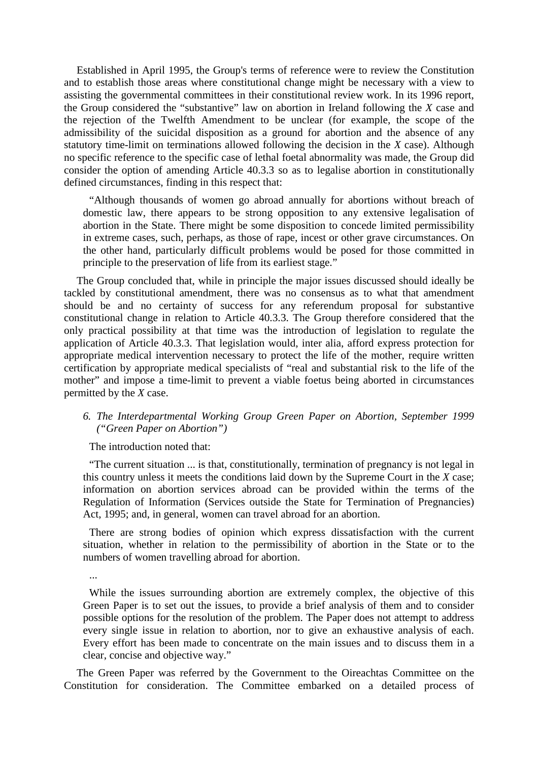Established in April 1995, the Group's terms of reference were to review the Constitution and to establish those areas where constitutional change might be necessary with a view to assisting the governmental committees in their constitutional review work. In its 1996 report, the Group considered the "substantive" law on abortion in Ireland following the *X* case and the rejection of the Twelfth Amendment to be unclear (for example, the scope of the admissibility of the suicidal disposition as a ground for abortion and the absence of any statutory time-limit on terminations allowed following the decision in the *X* case). Although no specific reference to the specific case of lethal foetal abnormality was made, the Group did consider the option of amending Article 40.3.3 so as to legalise abortion in constitutionally defined circumstances, finding in this respect that:

"Although thousands of women go abroad annually for abortions without breach of domestic law, there appears to be strong opposition to any extensive legalisation of abortion in the State. There might be some disposition to concede limited permissibility in extreme cases, such, perhaps, as those of rape, incest or other grave circumstances. On the other hand, particularly difficult problems would be posed for those committed in principle to the preservation of life from its earliest stage."

The Group concluded that, while in principle the major issues discussed should ideally be tackled by constitutional amendment, there was no consensus as to what that amendment should be and no certainty of success for any referendum proposal for substantive constitutional change in relation to Article 40.3.3. The Group therefore considered that the only practical possibility at that time was the introduction of legislation to regulate the application of Article 40.3.3. That legislation would, inter alia, afford express protection for appropriate medical intervention necessary to protect the life of the mother, require written certification by appropriate medical specialists of "real and substantial risk to the life of the mother" and impose a time-limit to prevent a viable foetus being aborted in circumstances permitted by the *X* case.

# *6. The Interdepartmental Working Group Green Paper on Abortion, September 1999 ("Green Paper on Abortion")*

The introduction noted that:

...

"The current situation ... is that, constitutionally, termination of pregnancy is not legal in this country unless it meets the conditions laid down by the Supreme Court in the *X* case; information on abortion services abroad can be provided within the terms of the Regulation of Information (Services outside the State for Termination of Pregnancies) Act, 1995; and, in general, women can travel abroad for an abortion.

There are strong bodies of opinion which express dissatisfaction with the current situation, whether in relation to the permissibility of abortion in the State or to the numbers of women travelling abroad for abortion.

While the issues surrounding abortion are extremely complex, the objective of this Green Paper is to set out the issues, to provide a brief analysis of them and to consider possible options for the resolution of the problem. The Paper does not attempt to address every single issue in relation to abortion, nor to give an exhaustive analysis of each. Every effort has been made to concentrate on the main issues and to discuss them in a clear, concise and objective way."

The Green Paper was referred by the Government to the Oireachtas Committee on the Constitution for consideration. The Committee embarked on a detailed process of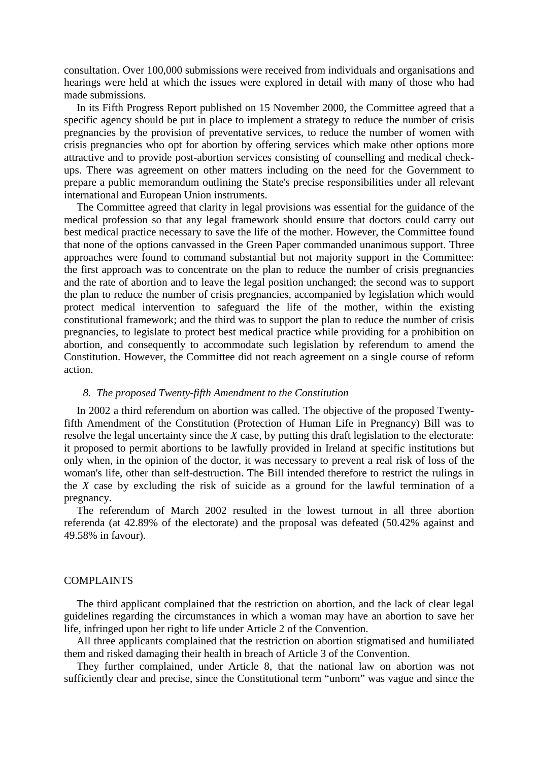consultation. Over 100,000 submissions were received from individuals and organisations and hearings were held at which the issues were explored in detail with many of those who had made submissions.

In its Fifth Progress Report published on 15 November 2000, the Committee agreed that a specific agency should be put in place to implement a strategy to reduce the number of crisis pregnancies by the provision of preventative services, to reduce the number of women with crisis pregnancies who opt for abortion by offering services which make other options more attractive and to provide post-abortion services consisting of counselling and medical checkups. There was agreement on other matters including on the need for the Government to prepare a public memorandum outlining the State's precise responsibilities under all relevant international and European Union instruments.

The Committee agreed that clarity in legal provisions was essential for the guidance of the medical profession so that any legal framework should ensure that doctors could carry out best medical practice necessary to save the life of the mother. However, the Committee found that none of the options canvassed in the Green Paper commanded unanimous support. Three approaches were found to command substantial but not majority support in the Committee: the first approach was to concentrate on the plan to reduce the number of crisis pregnancies and the rate of abortion and to leave the legal position unchanged; the second was to support the plan to reduce the number of crisis pregnancies, accompanied by legislation which would protect medical intervention to safeguard the life of the mother, within the existing constitutional framework; and the third was to support the plan to reduce the number of crisis pregnancies, to legislate to protect best medical practice while providing for a prohibition on abortion, and consequently to accommodate such legislation by referendum to amend the Constitution. However, the Committee did not reach agreement on a single course of reform action.

#### *8. The proposed Twenty-fifth Amendment to the Constitution*

In 2002 a third referendum on abortion was called. The objective of the proposed Twentyfifth Amendment of the Constitution (Protection of Human Life in Pregnancy) Bill was to resolve the legal uncertainty since the *X* case, by putting this draft legislation to the electorate: it proposed to permit abortions to be lawfully provided in Ireland at specific institutions but only when, in the opinion of the doctor, it was necessary to prevent a real risk of loss of the woman's life, other than self-destruction. The Bill intended therefore to restrict the rulings in the *X* case by excluding the risk of suicide as a ground for the lawful termination of a pregnancy.

The referendum of March 2002 resulted in the lowest turnout in all three abortion referenda (at 42.89% of the electorate) and the proposal was defeated (50.42% against and 49.58% in favour).

#### COMPLAINTS

The third applicant complained that the restriction on abortion, and the lack of clear legal guidelines regarding the circumstances in which a woman may have an abortion to save her life, infringed upon her right to life under Article 2 of the Convention.

All three applicants complained that the restriction on abortion stigmatised and humiliated them and risked damaging their health in breach of Article 3 of the Convention.

They further complained, under Article 8, that the national law on abortion was not sufficiently clear and precise, since the Constitutional term "unborn" was vague and since the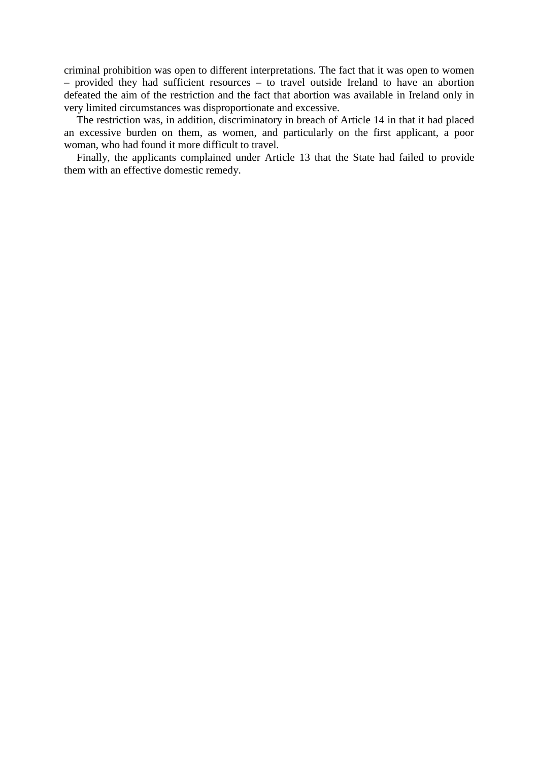criminal prohibition was open to different interpretations. The fact that it was open to women – provided they had sufficient resources – to travel outside Ireland to have an abortion defeated the aim of the restriction and the fact that abortion was available in Ireland only in very limited circumstances was disproportionate and excessive.

The restriction was, in addition, discriminatory in breach of Article 14 in that it had placed an excessive burden on them, as women, and particularly on the first applicant, a poor woman, who had found it more difficult to travel.

Finally, the applicants complained under Article 13 that the State had failed to provide them with an effective domestic remedy.